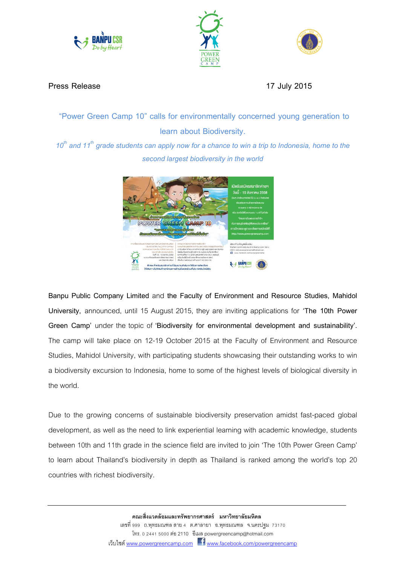





## **Press Release 17 July 2015**

**'Power Green Camp 10' calls for environmentally concerned young generation to learn about Biodiversity.**

*10th and 11th grade students can apply now for a chance to win a trip to Indonesia, home to the second largest biodiversity in the world*



**Banpu Public Company Limited** and **the Faculty of Environment and Resource Studies, Mahidol University,** announced, until 15 August 2015, they are inviting applications for **'The 10th Power Green Camp'** under the topic of **'Biodiversity for environmental development and sustainability'.**  The camp will take place on 12-19 October 2015 at the Faculty of Environment and Resource Studies, Mahidol University, with participating students showcasing their outstanding works to win a biodiversity excursion to Indonesia, home to some of the highest levels of biological diversity in the world.

Due to the growing concerns of sustainable biodiversity preservation amidst fast-paced global development, as well as the need to link experiential learning with academic knowledge, students between 10th and 11th grade in the science field are invited to join 'The 10th Power Green Camp' to learn about Thailand's biodiversity in depth as Thailand is ranked among the world's top 20 countries with richest biodiversity.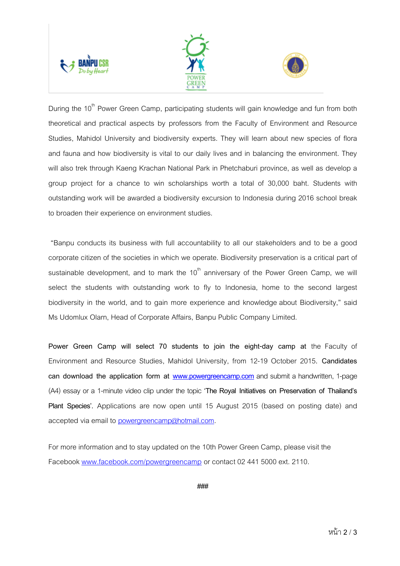





During the 10<sup>th</sup> Power Green Camp, participating students will gain knowledge and fun from both theoretical and practical aspects by professors from the Faculty of Environment and Resource Studies, Mahidol University and biodiversity experts. They will learn about new species of flora and fauna and how biodiversity is vital to our daily lives and in balancing the environment. They will also trek through Kaeng Krachan National Park in Phetchaburi province, as well as develop a group project for a chance to win scholarships worth a total of 30,000 baht. Students with outstanding work will be awarded a biodiversity excursion to Indonesia during 2016 school break to broaden their experience on environment studies.

"Banpu conducts its business with full accountability to all our stakeholders and to be a good corporate citizen of the societies in which we operate. Biodiversity preservation is a critical part of sustainable development, and to mark the  $10<sup>th</sup>$  anniversary of the Power Green Camp, we will select the students with outstanding work to fly to Indonesia, home to the second largest biodiversity in the world, and to gain more experience and knowledge about Biodiversity,' said Ms Udomlux Olarn, Head of Corporate Affairs, Banpu Public Company Limited.

**Power Green Camp will select 70 students to join the eight-day camp at** the Faculty of Environment and Resource Studies, Mahidol University, from 12-19 October 2015**. Candidates can download the application form at www.[powergreencamp.com](http://www.powergreencamp.com/)** and submit a handwritten, 1-page (A4) essay or a 1-minute video clip under the topic '**The Royal Initiatives on Preservation of Thailand's Plant Species'.** Applications are now open until 15 August 2015 (based on posting date) and accepted via email to powergreencamp@hotmail.com.

For more information and to stay updated on the 10th Power Green Camp, please visit the Facebook [www.facebook.com/powergreencamp](http://www.facebook.com/powergreencamp) or contact 02 441 5000 ext. 2110.